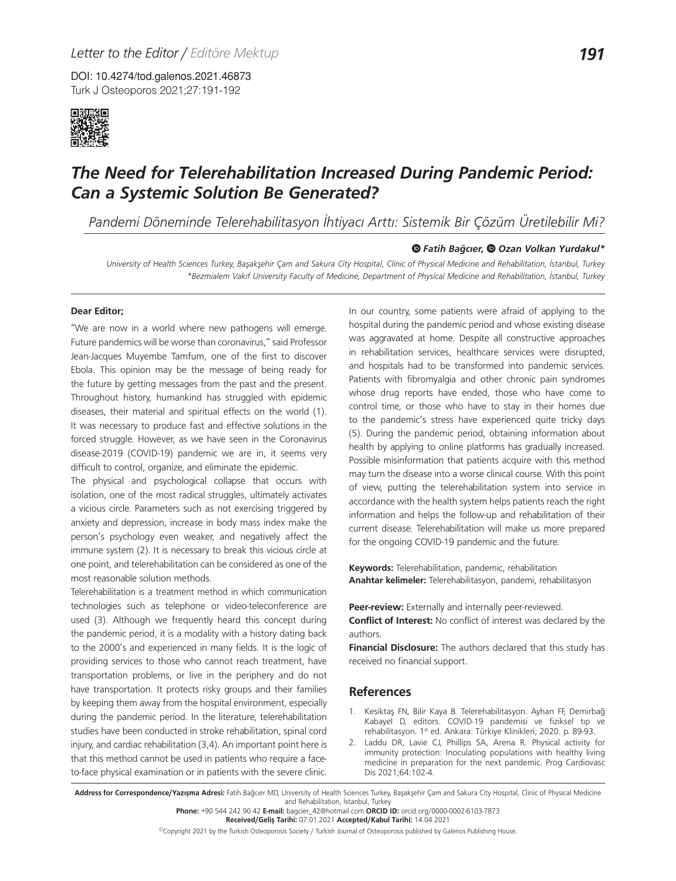DOI: 10.4274/tod.galenos.2021.46873 Turk J Osteoporos 2021;27:191-192



## *The Need for Telerehabilitation Increased During Pandemic Period: Can a Systemic Solution Be Generated?*

*Pandemi Döneminde Telerehabilitasyon İhtiyacı Arttı: Sistemik Bir Çözüm Üretilebilir Mi?*

## *Fatih Bağcıer, Ozan Volkan Yurdakul\**

*University of Health Sciences Turkey, Başakşehir Çam and Sakura City Hospital, Clinic of Physical Medicine and Rehabilitation, İstanbul, Turkey \*Bezmialem Vakıf University Faculty of Medicine, Department of Physical Medicine and Rehabilitation, İstanbul, Turkey*

## **Dear Editor;**

"We are now in a world where new pathogens will emerge. Future pandemics will be worse than coronavirus," said Professor Jean-Jacques Muyembe Tamfum, one of the first to discover Ebola. This opinion may be the message of being ready for the future by getting messages from the past and the present. Throughout history, humankind has struggled with epidemic diseases, their material and spiritual effects on the world (1). It was necessary to produce fast and effective solutions in the forced struggle. However, as we have seen in the Coronavirus disease-2019 (COVID-19) pandemic we are in, it seems very difficult to control, organize, and eliminate the epidemic.

The physical and psychological collapse that occurs with isolation, one of the most radical struggles, ultimately activates a vicious circle. Parameters such as not exercising triggered by anxiety and depression, increase in body mass index make the person's psychology even weaker, and negatively affect the immune system (2). It is necessary to break this vicious circle at one point, and telerehabilitation can be considered as one of the most reasonable solution methods.

Telerehabilitation is a treatment method in which communication technologies such as telephone or video-teleconference are used (3). Although we frequently heard this concept during the pandemic period, it is a modality with a history dating back to the 2000's and experienced in many fields. It is the logic of providing services to those who cannot reach treatment, have transportation problems, or live in the periphery and do not have transportation. It protects risky groups and their families by keeping them away from the hospital environment, especially during the pandemic period. In the literature, telerehabilitation studies have been conducted in stroke rehabilitation, spinal cord injury, and cardiac rehabilitation (3,4). An important point here is that this method cannot be used in patients who require a faceto-face physical examination or in patients with the severe clinic.

In our country, some patients were afraid of applying to the hospital during the pandemic period and whose existing disease was aggravated at home. Despite all constructive approaches in rehabilitation services, healthcare services were disrupted, and hospitals had to be transformed into pandemic services. Patients with fibromyalgia and other chronic pain syndromes whose drug reports have ended, those who have come to control time, or those who have to stay in their homes due to the pandemic's stress have experienced quite tricky days (5). During the pandemic period, obtaining information about health by applying to online platforms has gradually increased. Possible misinformation that patients acquire with this method may turn the disease into a worse clinical course. With this point of view, putting the telerehabilitation system into service in accordance with the health system helps patients reach the right information and helps the follow-up and rehabilitation of their current disease. Telerehabilitation will make us more prepared for the ongoing COVID-19 pandemic and the future.

**Keywords:** Telerehabilitation, pandemic, rehabilitation **Anahtar kelimeler:** Telerehabilitasyon, pandemi, rehabilitasyon

**Peer-review:** Externally and internally peer-reviewed. **Conflict of Interest:** No conflict of interest was declared by the authors.

**Financial Disclosure:** The authors declared that this study has received no financial support.

## **References**

- 1. Kesiktaş FN, Bilir Kaya B. Telerehabilitasyon. Ayhan FF, Demirbağ Kabayel D, editors. COVID-19 pandemisi ve fiziksel tıp ve rehabilitasyon. 1<sup>st</sup> ed. Ankara: Türkiye Klinikleri; 2020. p. 89-93.
- 2. Laddu DR, Lavie CJ, Phillips SA, Arena R. Physical activity for immunity protection: Inoculating populations with healthy living medicine in preparation for the next pandemic. Prog Cardiovasc Dis 2021;64:102-4.

Address for Correspondence/Yazışma Adresi: Fatih Bağcıer MD, University of Health Sciences Turkey, Başakşehir Çam and Sakura City Hospital, Clinic of Physical Medicine and Rehabilitation, İstanbul, Turkey

**Phone:** +90 544 242 90 42 **E-mail:** bagcier\_42@hotmail.com **ORCID ID:** orcid.org/0000-0002-6103-7873

**Received/Geliş Tarihi:** 07.01.2021 **Accepted/Kabul Tarihi:** 14.04.2021